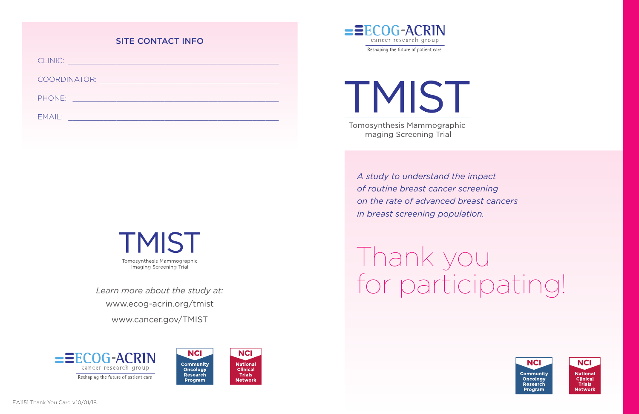#### SITE CONTACT INFO

CLINIC: \_\_\_\_\_\_\_\_\_\_\_\_\_\_\_\_\_\_\_\_\_\_\_\_\_\_\_\_\_\_\_\_\_\_\_\_\_\_\_\_\_\_\_\_\_\_\_\_ COORDINATOR: \_\_\_\_\_\_\_\_\_\_\_\_\_\_\_\_\_\_\_\_\_\_\_\_\_\_\_\_\_\_\_\_\_\_\_\_\_\_\_\_\_ PHONE: \_\_\_\_\_\_\_\_\_\_\_\_\_\_\_\_\_\_\_\_\_\_\_\_\_\_\_\_\_\_\_\_\_\_\_\_\_\_\_\_\_\_\_\_\_\_\_ EMAIL: \_\_\_\_\_\_\_\_\_\_\_\_\_\_\_\_\_\_\_\_\_\_\_\_\_\_\_\_\_\_\_\_\_\_\_\_\_\_\_\_\_\_\_\_\_\_\_\_



www.ecog-acrin.org/tmist www.cancer.gov/TMIST







**TMIST** Tomosynthesis Mammographic Imaging Screening Trial

> *A study to understand the impact of routine breast cancer screening on the rate of advanced breast cancers in breast screening population.*

Thank you *Learn more about the study at:* for participating!